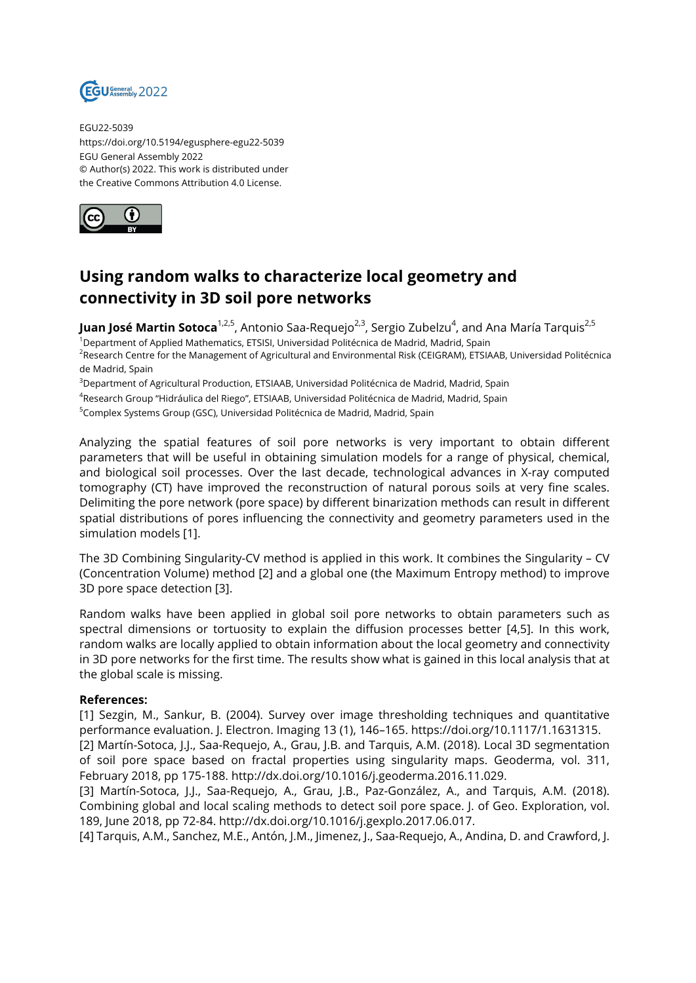

EGU22-5039 https://doi.org/10.5194/egusphere-egu22-5039 EGU General Assembly 2022 © Author(s) 2022. This work is distributed under the Creative Commons Attribution 4.0 License.



## **Using random walks to characterize local geometry and connectivity in 3D soil pore networks**

**Juan José Martin Sotoca**<sup>1,2,5</sup>, Antonio Saa-Requejo<sup>2,3</sup>, Sergio Zubelzu<sup>4</sup>, and Ana María Tarquis<sup>2,5</sup>

<sup>1</sup>Department of Applied Mathematics, ETSISI, Universidad Politécnica de Madrid, Madrid, Spain

<sup>2</sup>Research Centre for the Management of Agricultural and Environmental Risk (CEIGRAM), ETSIAAB, Universidad Politécnica de Madrid, Spain

<sup>3</sup>Department of Agricultural Production, ETSIAAB, Universidad Politécnica de Madrid, Madrid, Spain

4 Research Group "Hidráulica del Riego", ETSIAAB, Universidad Politécnica de Madrid, Madrid, Spain

<sup>5</sup>Complex Systems Group (GSC), Universidad Politécnica de Madrid, Madrid, Spain

Analyzing the spatial features of soil pore networks is very important to obtain different parameters that will be useful in obtaining simulation models for a range of physical, chemical, and biological soil processes. Over the last decade, technological advances in X-ray computed tomography (CT) have improved the reconstruction of natural porous soils at very fine scales. Delimiting the pore network (pore space) by different binarization methods can result in different spatial distributions of pores influencing the connectivity and geometry parameters used in the simulation models [1].

The 3D Combining Singularity-CV method is applied in this work. It combines the Singularity – CV (Concentration Volume) method [2] and a global one (the Maximum Entropy method) to improve 3D pore space detection [3].

Random walks have been applied in global soil pore networks to obtain parameters such as spectral dimensions or tortuosity to explain the diffusion processes better [4,5]. In this work, random walks are locally applied to obtain information about the local geometry and connectivity in 3D pore networks for the first time. The results show what is gained in this local analysis that at the global scale is missing.

## **References:**

[1] Sezgin, M., Sankur, B. (2004). Survey over image thresholding techniques and quantitative performance evaluation. J. Electron. Imaging 13 (1), 146–165. https://doi.org/10.1117/1.1631315.

[2] Martín-Sotoca, J.J., Saa-Requejo, A., Grau, J.B. and Tarquis, A.M. (2018). Local 3D segmentation of soil pore space based on fractal properties using singularity maps. Geoderma, vol. 311, February 2018, pp 175-188. http://dx.doi.org/10.1016/j.geoderma.2016.11.029.

[3] Martín-Sotoca, J.J., Saa-Requejo, A., Grau, J.B., Paz-González, A., and Tarquis, A.M. (2018). Combining global and local scaling methods to detect soil pore space. J. of Geo. Exploration, vol. 189, June 2018, pp 72-84. http://dx.doi.org/10.1016/j.gexplo.2017.06.017.

[4] Tarquis, A.M., Sanchez, M.E., Antón, J.M., Jimenez, J., Saa-Requejo, A., Andina, D. and Crawford, J.